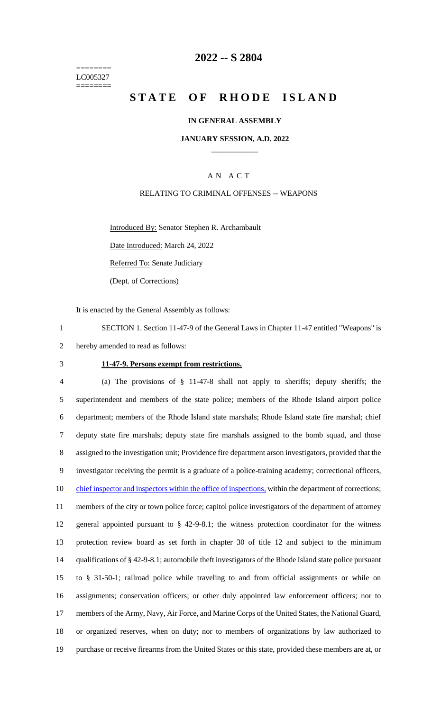======== LC005327 ========

## **2022 -- S 2804**

# **STATE OF RHODE ISLAND**

#### **IN GENERAL ASSEMBLY**

#### **JANUARY SESSION, A.D. 2022 \_\_\_\_\_\_\_\_\_\_\_\_**

## A N A C T

### RELATING TO CRIMINAL OFFENSES -- WEAPONS

Introduced By: Senator Stephen R. Archambault

Date Introduced: March 24, 2022

Referred To: Senate Judiciary

(Dept. of Corrections)

It is enacted by the General Assembly as follows:

1 SECTION 1. Section 11-47-9 of the General Laws in Chapter 11-47 entitled "Weapons" is 2 hereby amended to read as follows:

#### 3 **11-47-9. Persons exempt from restrictions.**

 (a) The provisions of § 11-47-8 shall not apply to sheriffs; deputy sheriffs; the superintendent and members of the state police; members of the Rhode Island airport police department; members of the Rhode Island state marshals; Rhode Island state fire marshal; chief deputy state fire marshals; deputy state fire marshals assigned to the bomb squad, and those assigned to the investigation unit; Providence fire department arson investigators, provided that the investigator receiving the permit is a graduate of a police-training academy; correctional officers, 10 chief inspector and inspectors within the office of inspections, within the department of corrections; members of the city or town police force; capitol police investigators of the department of attorney general appointed pursuant to § 42-9-8.1; the witness protection coordinator for the witness protection review board as set forth in chapter 30 of title 12 and subject to the minimum qualifications of § 42-9-8.1; automobile theft investigators of the Rhode Island state police pursuant to § 31-50-1; railroad police while traveling to and from official assignments or while on assignments; conservation officers; or other duly appointed law enforcement officers; nor to members of the Army, Navy, Air Force, and Marine Corps of the United States, the National Guard, or organized reserves, when on duty; nor to members of organizations by law authorized to purchase or receive firearms from the United States or this state, provided these members are at, or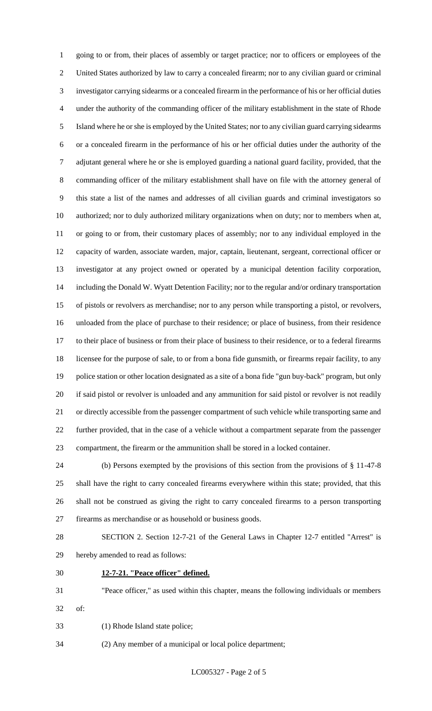going to or from, their places of assembly or target practice; nor to officers or employees of the United States authorized by law to carry a concealed firearm; nor to any civilian guard or criminal investigator carrying sidearms or a concealed firearm in the performance of his or her official duties under the authority of the commanding officer of the military establishment in the state of Rhode Island where he or she is employed by the United States; nor to any civilian guard carrying sidearms or a concealed firearm in the performance of his or her official duties under the authority of the adjutant general where he or she is employed guarding a national guard facility, provided, that the commanding officer of the military establishment shall have on file with the attorney general of this state a list of the names and addresses of all civilian guards and criminal investigators so authorized; nor to duly authorized military organizations when on duty; nor to members when at, or going to or from, their customary places of assembly; nor to any individual employed in the capacity of warden, associate warden, major, captain, lieutenant, sergeant, correctional officer or investigator at any project owned or operated by a municipal detention facility corporation, including the Donald W. Wyatt Detention Facility; nor to the regular and/or ordinary transportation of pistols or revolvers as merchandise; nor to any person while transporting a pistol, or revolvers, unloaded from the place of purchase to their residence; or place of business, from their residence to their place of business or from their place of business to their residence, or to a federal firearms licensee for the purpose of sale, to or from a bona fide gunsmith, or firearms repair facility, to any police station or other location designated as a site of a bona fide "gun buy-back" program, but only if said pistol or revolver is unloaded and any ammunition for said pistol or revolver is not readily or directly accessible from the passenger compartment of such vehicle while transporting same and further provided, that in the case of a vehicle without a compartment separate from the passenger compartment, the firearm or the ammunition shall be stored in a locked container.

 (b) Persons exempted by the provisions of this section from the provisions of § 11-47-8 shall have the right to carry concealed firearms everywhere within this state; provided, that this shall not be construed as giving the right to carry concealed firearms to a person transporting firearms as merchandise or as household or business goods.

 SECTION 2. Section 12-7-21 of the General Laws in Chapter 12-7 entitled "Arrest" is hereby amended to read as follows:

**12-7-21. "Peace officer" defined.**

 "Peace officer," as used within this chapter, means the following individuals or members of:

- (1) Rhode Island state police;
- (2) Any member of a municipal or local police department;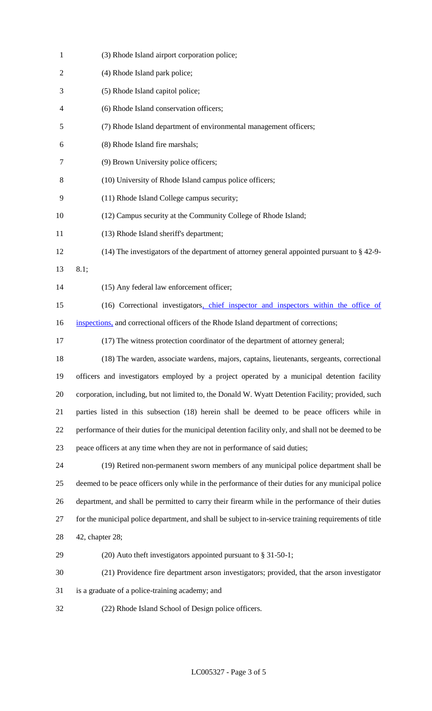| $\mathbf{1}$   | (3) Rhode Island airport corporation police;                                                           |
|----------------|--------------------------------------------------------------------------------------------------------|
| $\overline{2}$ | (4) Rhode Island park police;                                                                          |
| 3              | (5) Rhode Island capitol police;                                                                       |
| 4              | (6) Rhode Island conservation officers;                                                                |
| 5              | (7) Rhode Island department of environmental management officers;                                      |
| 6              | (8) Rhode Island fire marshals;                                                                        |
| 7              | (9) Brown University police officers;                                                                  |
| 8              | (10) University of Rhode Island campus police officers;                                                |
| 9              | (11) Rhode Island College campus security;                                                             |
| 10             | (12) Campus security at the Community College of Rhode Island;                                         |
| 11             | (13) Rhode Island sheriff's department;                                                                |
| 12             | (14) The investigators of the department of attorney general appointed pursuant to $\S$ 42-9-          |
| 13             | 8.1;                                                                                                   |
| 14             | (15) Any federal law enforcement officer;                                                              |
| 15             | (16) Correctional investigators, chief inspector and inspectors within the office of                   |
| 16             | inspections, and correctional officers of the Rhode Island department of corrections;                  |
| 17             | (17) The witness protection coordinator of the department of attorney general;                         |
| 18             | (18) The warden, associate wardens, majors, captains, lieutenants, sergeants, correctional             |
| 19             | officers and investigators employed by a project operated by a municipal detention facility            |
| 20             | corporation, including, but not limited to, the Donald W. Wyatt Detention Facility; provided, such     |
| 21             | parties listed in this subsection (18) herein shall be deemed to be peace officers while in            |
| 22             | performance of their duties for the municipal detention facility only, and shall not be deemed to be   |
| 23             | peace officers at any time when they are not in performance of said duties;                            |
| 24             | (19) Retired non-permanent sworn members of any municipal police department shall be                   |
| 25             | deemed to be peace officers only while in the performance of their duties for any municipal police     |
| 26             | department, and shall be permitted to carry their firearm while in the performance of their duties     |
| 27             | for the municipal police department, and shall be subject to in-service training requirements of title |
| 28             | 42, chapter 28;                                                                                        |
| 29             | (20) Auto theft investigators appointed pursuant to $\S 31-50-1$ ;                                     |
| 30             | (21) Providence fire department arson investigators; provided, that the arson investigator             |
| 31             | is a graduate of a police-training academy; and                                                        |
| 32             | (22) Rhode Island School of Design police officers.                                                    |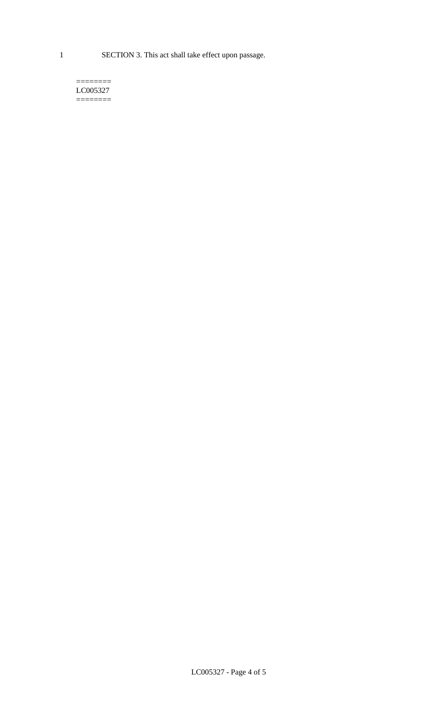1 SECTION 3. This act shall take effect upon passage.